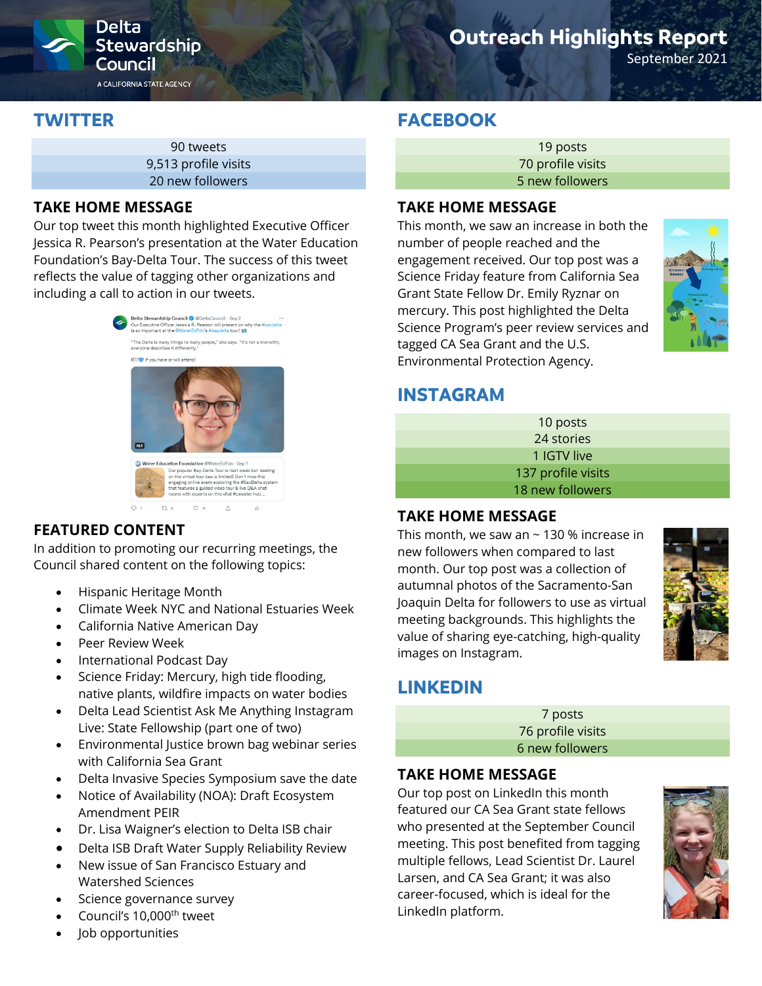

# **Outreach Highlights Report**

September 2021

## **TWITTER**

90 tweets 9,513 profile visits 20 new followers

### **TAKE HOME MESSAGE**

Our top tweet this month highlighted Executive Officer Jessica R. Pearson's presentation at the Water Education Foundation's Bay-Delta Tour. The success of this tweet reflects the value of tagging other organizations and including a call to action in our tweets.



## **FEATURED CONTENT**

In addition to promoting our recurring meetings, the Council shared content on the following topics:

- Hispanic Heritage Month
- Climate Week NYC and National Estuaries Week
- California Native American Day
- Peer Review Week
- International Podcast Day
- Science Friday: Mercury, high tide flooding, native plants, wildfire impacts on water bodies
- Delta Lead Scientist Ask Me Anything Instagram Live: State Fellowship (part one of two)
- Environmental Justice brown bag webinar series with California Sea Grant
- Delta Invasive Species Symposium save the date
- Notice of Availability (NOA): Draft Ecosystem Amendment PEIR
- Dr. Lisa Waigner's election to Delta ISB chair
- Delta ISB Draft Water Supply Reliability Review
- New issue of San Francisco Estuary and Watershed Sciences
- Science governance survey
- Council's 10,000<sup>th</sup> tweet
- Job opportunities

## **FACEBOOK**

19 posts 70 profile visits 5 new followers

### **TAKE HOME MESSAGE**

This month, we saw an increase in both the number of people reached and the engagement received. Our top post was a Science Friday feature from California Sea Grant State Fellow Dr. Emily Ryznar on mercury. This post highlighted the Delta Science Program's peer review services and tagged CA Sea Grant and the U.S. Environmental Protection Agency.



## **INSTAGRAM**

| 10 posts           |  |
|--------------------|--|
| 24 stories         |  |
| 1 IGTV live        |  |
| 137 profile visits |  |
| 18 new followers   |  |

#### **TAKE HOME MESSAGE**

This month, we saw an  $\sim$  130 % increase in new followers when compared to last month. Our top post was a collection of autumnal photos of the Sacramento-San Joaquin Delta for followers to use as virtual meeting backgrounds. This highlights the value of sharing eye-catching, high-quality images on Instagram.



## **LINKEDIN**

7 posts 76 profile visits 6 new followers

## **TAKE HOME MESSAGE**

Our top post on LinkedIn this month featured our CA Sea Grant state fellows who presented at the September Council meeting. This post benefited from tagging multiple fellows, Lead Scientist Dr. Laurel Larsen, and CA Sea Grant; it was also career-focused, which is ideal for the LinkedIn platform.